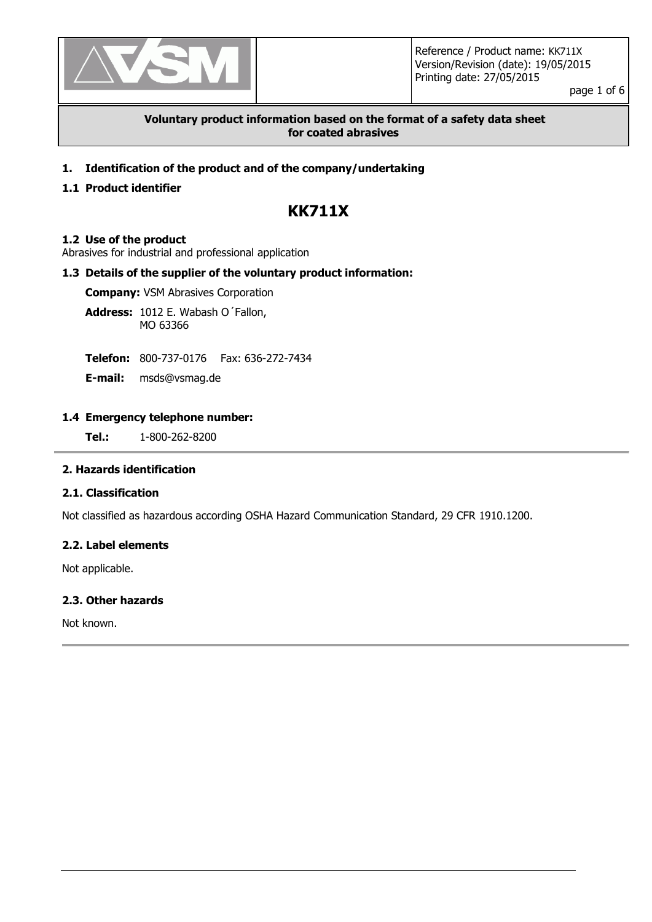

page 1 of 6

## **Voluntary product information based on the format of a safety data sheet for coated abrasives**

**1. Identification of the product and of the company/undertaking**

# **1.1 Product identifier**

# **KK711X**

#### **1.2 Use of the product**

Abrasives for industrial and professional application

## **1.3 Details of the supplier of the voluntary product information:**

**Company:** VSM Abrasives Corporation

**Address:** 1012 E. Wabash O´Fallon, MO 63366

**Telefon:** 800-737-0176 Fax: 636-272-7434

**E-mail:** msds@vsmag.de

#### **1.4 Emergency telephone number:**

**Tel.:** 1-800-262-8200

## **2. Hazards identification**

## **2.1. Classification**

Not classified as hazardous according OSHA Hazard Communication Standard, 29 CFR 1910.1200.

## **2.2. Label elements**

Not applicable.

#### **2.3. Other hazards**

Not known.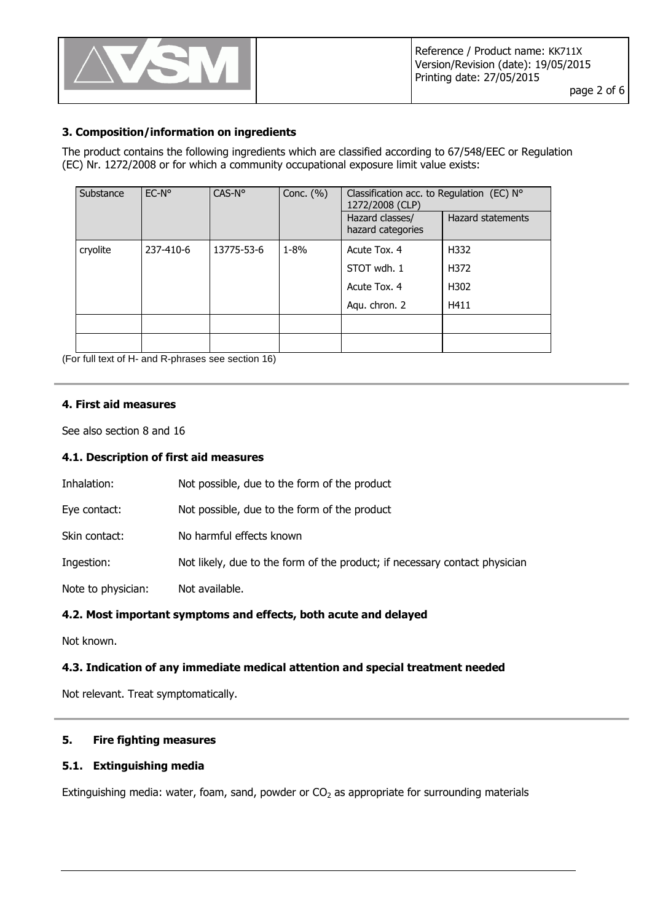

# **3. Composition/information on ingredients**

The product contains the following ingredients which are classified according to 67/548/EEC or Regulation (EC) Nr. 1272/2008 or for which a community occupational exposure limit value exists:

| Substance | $EC-No$   | CAS-N°     | Conc. $(\% )$ | Classification acc. to Regulation (EC) $N^{\circ}$<br>1272/2008 (CLP) |                          |
|-----------|-----------|------------|---------------|-----------------------------------------------------------------------|--------------------------|
|           |           |            |               | Hazard classes/<br>hazard categories                                  | <b>Hazard statements</b> |
| cryolite  | 237-410-6 | 13775-53-6 | $1 - 8\%$     | Acute Tox. 4                                                          | H332                     |
|           |           |            |               | STOT wdh. 1                                                           | H372                     |
|           |           |            |               | Acute Tox. 4                                                          | H302                     |
|           |           |            |               | Aqu. chron. 2                                                         | H411                     |
|           |           |            |               |                                                                       |                          |
|           |           |            |               |                                                                       |                          |

(For full text of H- and R-phrases see section 16)

#### **4. First aid measures**

See also section 8 and 16

## **4.1. Description of first aid measures**

| Inhalation:        | Not possible, due to the form of the product                               |
|--------------------|----------------------------------------------------------------------------|
| Eye contact:       | Not possible, due to the form of the product                               |
| Skin contact:      | No harmful effects known                                                   |
| Ingestion:         | Not likely, due to the form of the product; if necessary contact physician |
| Note to physician: | Not available.                                                             |

#### **4.2. Most important symptoms and effects, both acute and delayed**

Not known.

#### **4.3. Indication of any immediate medical attention and special treatment needed**

Not relevant. Treat symptomatically.

## **5. Fire fighting measures**

#### **5.1. Extinguishing media**

Extinguishing media: water, foam, sand, powder or  $CO<sub>2</sub>$  as appropriate for surrounding materials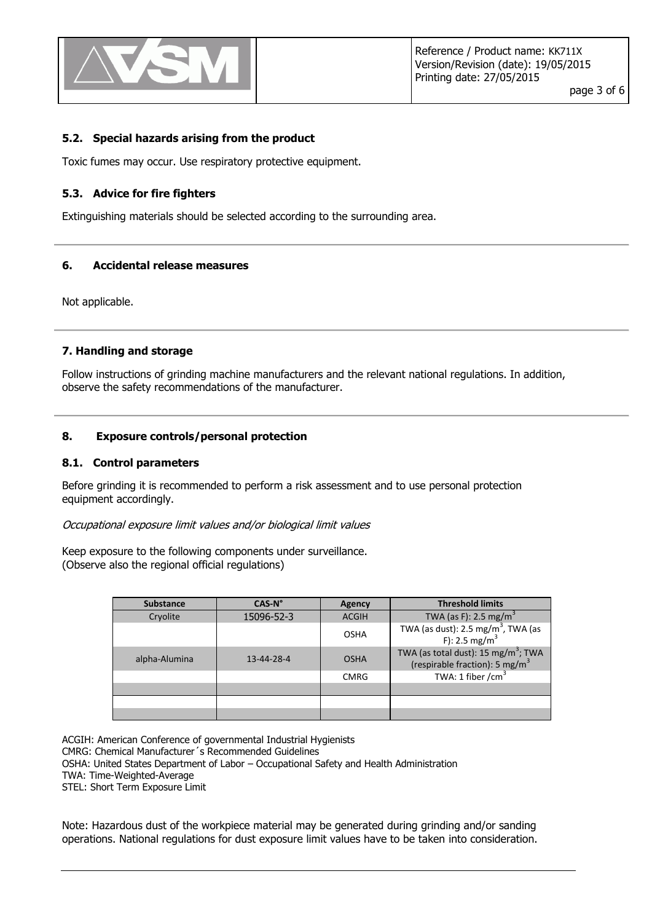

#### **5.2. Special hazards arising from the product**

Toxic fumes may occur. Use respiratory protective equipment.

#### **5.3. Advice for fire fighters**

Extinguishing materials should be selected according to the surrounding area.

#### **6. Accidental release measures**

Not applicable.

#### **7. Handling and storage**

Follow instructions of grinding machine manufacturers and the relevant national regulations. In addition, observe the safety recommendations of the manufacturer.

#### **8. Exposure controls/personal protection**

#### **8.1. Control parameters**

Before grinding it is recommended to perform a risk assessment and to use personal protection equipment accordingly.

Occupational exposure limit values and/or biological limit values

Keep exposure to the following components under surveillance. (Observe also the regional official regulations)

| <b>Substance</b> | CAS-N°             | <b>Agency</b> | <b>Threshold limits</b>                                                                       |
|------------------|--------------------|---------------|-----------------------------------------------------------------------------------------------|
| Cryolite         | 15096-52-3         | <b>ACGIH</b>  | TWA (as F): 2.5 mg/m <sup>3</sup>                                                             |
|                  |                    | <b>OSHA</b>   | TWA (as dust): $2.5 \text{ mg/m}^3$ , TWA (as<br>F): 2.5 mg/m <sup>3</sup>                    |
| alpha-Alumina    | $13 - 44 - 28 - 4$ | <b>OSHA</b>   | TWA (as total dust): 15 mg/m <sup>3</sup> ; TWA<br>(respirable fraction): 5 mg/m <sup>3</sup> |
|                  |                    | <b>CMRG</b>   | TWA: 1 fiber / $cm3$                                                                          |
|                  |                    |               |                                                                                               |
|                  |                    |               |                                                                                               |
|                  |                    |               |                                                                                               |

ACGIH: American Conference of governmental Industrial Hygienists

CMRG: Chemical Manufacturer´s Recommended Guidelines

OSHA: United States Department of Labor – Occupational Safety and Health Administration

TWA: Time-Weighted-Average

STEL: Short Term Exposure Limit

Note: Hazardous dust of the workpiece material may be generated during grinding and/or sanding operations. National regulations for dust exposure limit values have to be taken into consideration.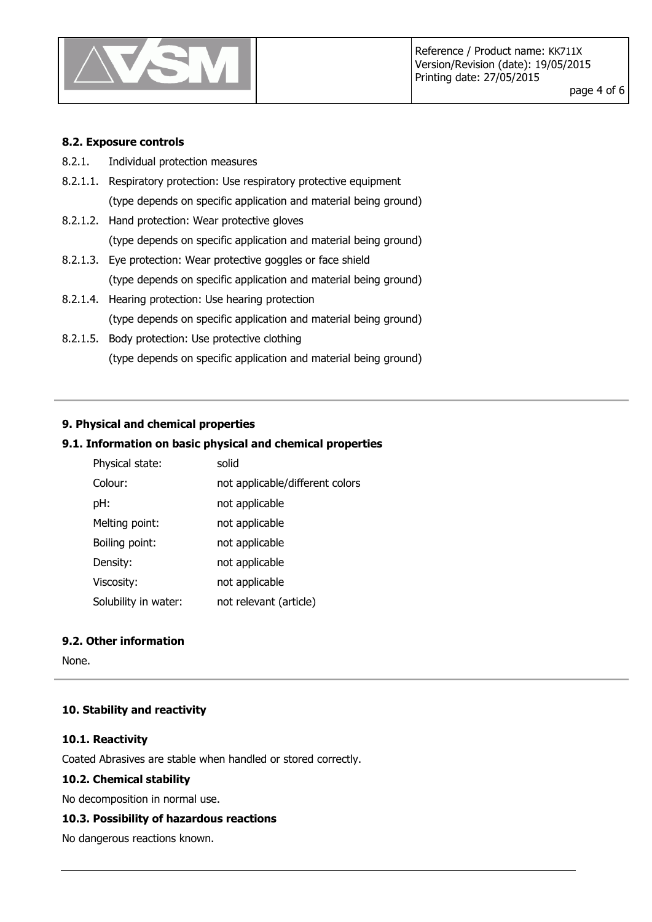

page 4 of 6

#### **8.2. Exposure controls**

- 8.2.1. Individual protection measures
- 8.2.1.1. Respiratory protection: Use respiratory protective equipment (type depends on specific application and material being ground)
- 8.2.1.2. Hand protection: Wear protective gloves (type depends on specific application and material being ground)
- 8.2.1.3. Eye protection: Wear protective goggles or face shield (type depends on specific application and material being ground)
- 8.2.1.4. Hearing protection: Use hearing protection (type depends on specific application and material being ground)
- 8.2.1.5. Body protection: Use protective clothing (type depends on specific application and material being ground)

#### **9. Physical and chemical properties**

# **9.1. Information on basic physical and chemical properties**

| Physical state:      | solid                           |
|----------------------|---------------------------------|
| Colour:              | not applicable/different colors |
| pH:                  | not applicable                  |
| Melting point:       | not applicable                  |
| Boiling point:       | not applicable                  |
| Density:             | not applicable                  |
| Viscosity:           | not applicable                  |
| Solubility in water: | not relevant (article)          |

# **9.2. Other information**

None.

#### **10. Stability and reactivity**

#### **10.1. Reactivity**

Coated Abrasives are stable when handled or stored correctly.

#### **10.2. Chemical stability**

No decomposition in normal use.

#### **10.3. Possibility of hazardous reactions**

No dangerous reactions known.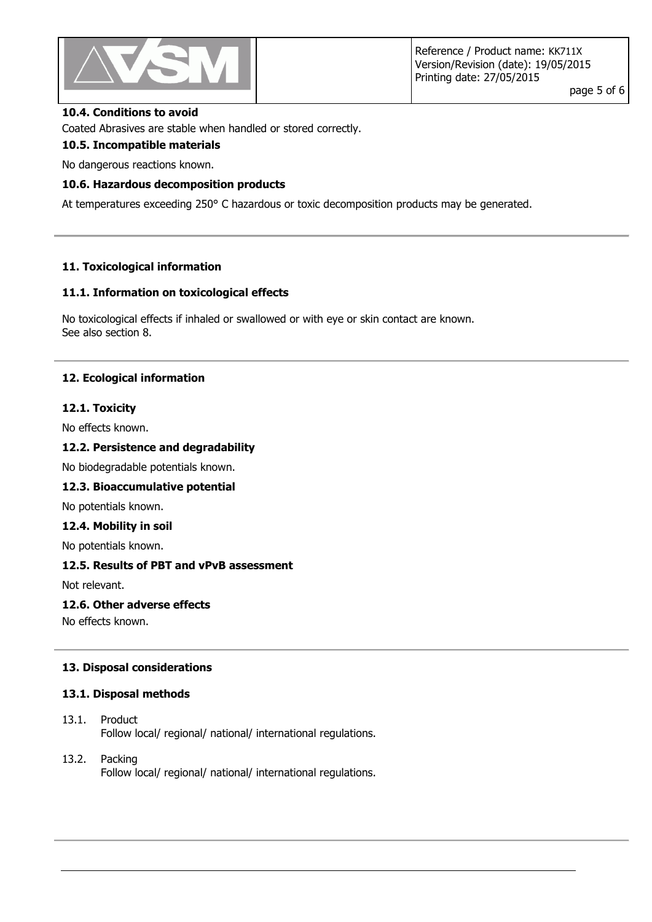

#### **10.4. Conditions to avoid**

Coated Abrasives are stable when handled or stored correctly.

## **10.5. Incompatible materials**

No dangerous reactions known.

#### **10.6. Hazardous decomposition products**

At temperatures exceeding 250° C hazardous or toxic decomposition products may be generated.

#### **11. Toxicological information**

#### **11.1. Information on toxicological effects**

No toxicological effects if inhaled or swallowed or with eye or skin contact are known. See also section 8.

#### **12. Ecological information**

#### **12.1. Toxicity**

No effects known.

# **12.2. Persistence and degradability**

No biodegradable potentials known.

#### **12.3. Bioaccumulative potential**

No potentials known.

#### **12.4. Mobility in soil**

No potentials known.

#### **12.5. Results of PBT and vPvB assessment**

Not relevant.

#### **12.6. Other adverse effects**

No effects known.

#### **13. Disposal considerations**

#### **13.1. Disposal methods**

- 13.1. Product Follow local/ regional/ national/ international regulations.
- 13.2. Packing Follow local/ regional/ national/ international regulations.